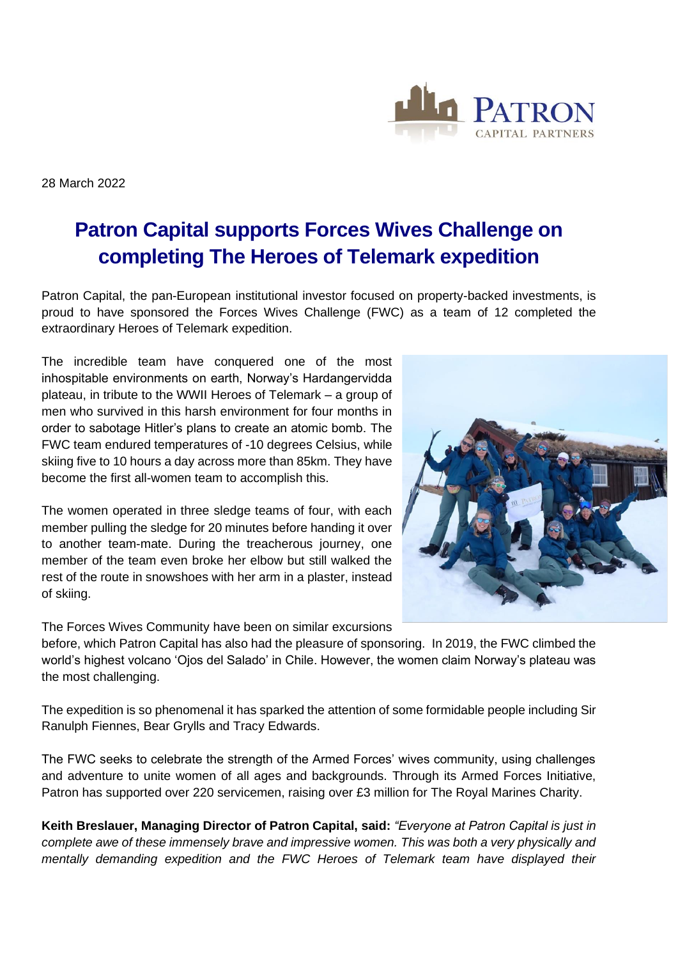

28 March 2022

## **Patron Capital supports Forces Wives Challenge on completing The Heroes of Telemark expedition**

Patron Capital, the pan-European institutional investor focused on property-backed investments, is proud to have sponsored the Forces Wives Challenge (FWC) as a team of 12 completed the extraordinary Heroes of Telemark expedition.

The incredible team have conquered one of the most inhospitable environments on earth, Norway's Hardangervidda plateau, in tribute to the WWII Heroes of Telemark – a group of men who survived in this harsh environment for four months in order to sabotage Hitler's plans to create an atomic bomb. The FWC team endured temperatures of -10 degrees Celsius, while skiing five to 10 hours a day across more than 85km. They have become the first all-women team to accomplish this.

The women operated in three sledge teams of four, with each member pulling the sledge for 20 minutes before handing it over to another team-mate. During the treacherous journey, one member of the team even broke her elbow but still walked the rest of the route in snowshoes with her arm in a plaster, instead of skiing.



before, which Patron Capital has also had the pleasure of sponsoring. In 2019, the FWC climbed the world's highest volcano 'Ojos del Salado' in Chile. However, the women claim Norway's plateau was the most challenging.

The expedition is so phenomenal it has sparked the attention of some formidable people including Sir Ranulph Fiennes, Bear Grylls and Tracy Edwards.

The FWC seeks to celebrate the strength of the Armed Forces' wives community, using challenges and adventure to unite women of all ages and backgrounds. Through its Armed Forces Initiative, Patron has supported over 220 servicemen, raising over £3 million for The Royal Marines Charity.

**Keith Breslauer, Managing Director of Patron Capital, said:** *"Everyone at Patron Capital is just in complete awe of these immensely brave and impressive women. This was both a very physically and mentally demanding expedition and the FWC Heroes of Telemark team have displayed their*